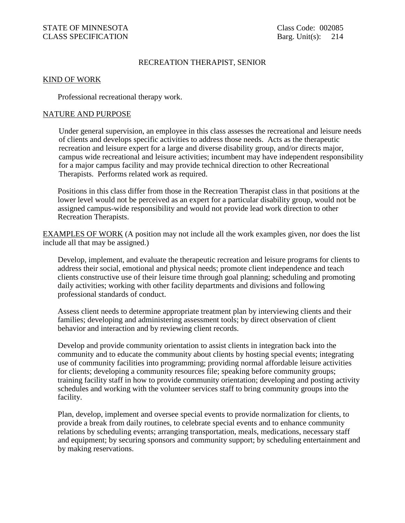## RECREATION THERAPIST, SENIOR

## KIND OF WORK

Professional recreational therapy work.

## NATURE AND PURPOSE

Under general supervision, an employee in this class assesses the recreational and leisure needs of clients and develops specific activities to address those needs. Acts as the therapeutic recreation and leisure expert for a large and diverse disability group, and/or directs major, campus wide recreational and leisure activities; incumbent may have independent responsibility for a major campus facility and may provide technical direction to other Recreational Therapists. Performs related work as required.

 Positions in this class differ from those in the Recreation Therapist class in that positions at the lower level would not be perceived as an expert for a particular disability group, would not be assigned campus-wide responsibility and would not provide lead work direction to other Recreation Therapists.

EXAMPLES OF WORK (A position may not include all the work examples given, nor does the list include all that may be assigned.)

Develop, implement, and evaluate the therapeutic recreation and leisure programs for clients to address their social, emotional and physical needs; promote client independence and teach clients constructive use of their leisure time through goal planning; scheduling and promoting daily activities; working with other facility departments and divisions and following professional standards of conduct.

Assess client needs to determine appropriate treatment plan by interviewing clients and their families; developing and administering assessment tools; by direct observation of client behavior and interaction and by reviewing client records.

 Develop and provide community orientation to assist clients in integration back into the community and to educate the community about clients by hosting special events; integrating use of community facilities into programming; providing normal affordable leisure activities for clients; developing a community resources file; speaking before community groups; training facility staff in how to provide community orientation; developing and posting activity schedules and working with the volunteer services staff to bring community groups into the facility.

 Plan, develop, implement and oversee special events to provide normalization for clients, to provide a break from daily routines, to celebrate special events and to enhance community relations by scheduling events; arranging transportation, meals, medications, necessary staff and equipment; by securing sponsors and community support; by scheduling entertainment and by making reservations.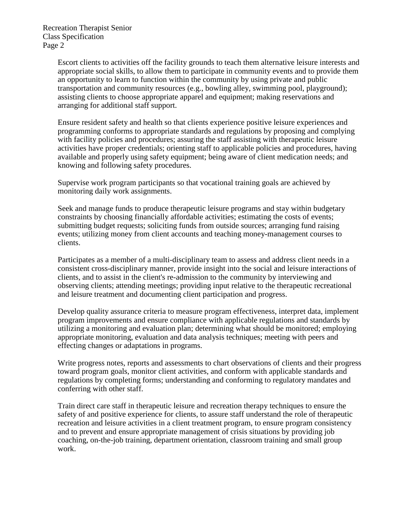Escort clients to activities off the facility grounds to teach them alternative leisure interests and appropriate social skills, to allow them to participate in community events and to provide them an opportunity to learn to function within the community by using private and public transportation and community resources (e.g., bowling alley, swimming pool, playground); assisting clients to choose appropriate apparel and equipment; making reservations and arranging for additional staff support.

Ensure resident safety and health so that clients experience positive leisure experiences and programming conforms to appropriate standards and regulations by proposing and complying with facility policies and procedures; assuring the staff assisting with therapeutic leisure activities have proper credentials; orienting staff to applicable policies and procedures, having available and properly using safety equipment; being aware of client medication needs; and knowing and following safety procedures.

 Supervise work program participants so that vocational training goals are achieved by monitoring daily work assignments.

 Seek and manage funds to produce therapeutic leisure programs and stay within budgetary constraints by choosing financially affordable activities; estimating the costs of events; submitting budget requests; soliciting funds from outside sources; arranging fund raising events; utilizing money from client accounts and teaching money-management courses to clients.

Participates as a member of a multi-disciplinary team to assess and address client needs in a consistent cross-disciplinary manner, provide insight into the social and leisure interactions of clients, and to assist in the client's re-admission to the community by interviewing and observing clients; attending meetings; providing input relative to the therapeutic recreational and leisure treatment and documenting client participation and progress.

Develop quality assurance criteria to measure program effectiveness, interpret data, implement program improvements and ensure compliance with applicable regulations and standards by utilizing a monitoring and evaluation plan; determining what should be monitored; employing appropriate monitoring, evaluation and data analysis techniques; meeting with peers and effecting changes or adaptations in programs.

 Write progress notes, reports and assessments to chart observations of clients and their progress toward program goals, monitor client activities, and conform with applicable standards and regulations by completing forms; understanding and conforming to regulatory mandates and conferring with other staff.

Train direct care staff in therapeutic leisure and recreation therapy techniques to ensure the safety of and positive experience for clients, to assure staff understand the role of therapeutic recreation and leisure activities in a client treatment program, to ensure program consistency and to prevent and ensure appropriate management of crisis situations by providing job coaching, on-the-job training, department orientation, classroom training and small group work.